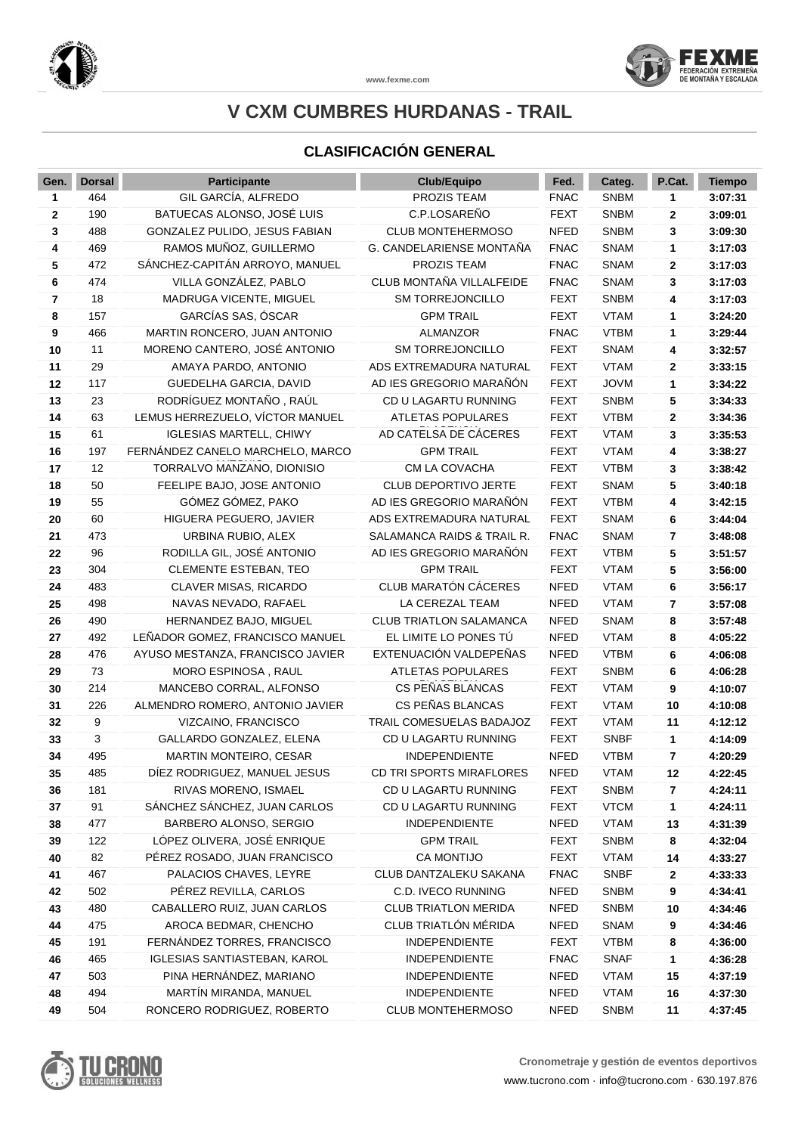

#### **CLASIFICACIÓN GENERAL**

| Gen.         | <b>Dorsal</b> | <b>Participante</b>              | Club/Equipo                    | Fed.        | Categ.      | P.Cat. | <b>Tiempo</b> |
|--------------|---------------|----------------------------------|--------------------------------|-------------|-------------|--------|---------------|
| 1            | 464           | GIL GARCÍA, ALFREDO              | PROZIS TEAM                    | <b>FNAC</b> | <b>SNBM</b> | 1      | 3:07:31       |
| $\mathbf{2}$ | 190           | BATUECAS ALONSO, JOSÉ LUIS       | C.P.LOSAREÑO                   | <b>FEXT</b> | <b>SNBM</b> | 2      | 3:09:01       |
| 3            | 488           | GONZALEZ PULIDO, JESUS FABIAN    | <b>CLUB MONTEHERMOSO</b>       | <b>NFED</b> | <b>SNBM</b> | 3      | 3:09:30       |
| 4            | 469           | RAMOS MUÑOZ, GUILLERMO           | G. CANDELARIENSE MONTAÑA       | <b>FNAC</b> | <b>SNAM</b> | 1      | 3:17:03       |
| 5            | 472           | SÁNCHEZ-CAPITÁN ARROYO, MANUEL   | PROZIS TEAM                    | <b>FNAC</b> | <b>SNAM</b> | 2      | 3:17:03       |
| 6            | 474           | VILLA GONZÁLEZ, PABLO            | CLUB MONTAÑA VILLALFEIDE       | <b>FNAC</b> | <b>SNAM</b> | 3      | 3:17:03       |
| 7            | 18            | MADRUGA VICENTE, MIGUEL          | SM TORREJONCILLO               | <b>FEXT</b> | <b>SNBM</b> | 4      | 3:17:03       |
| 8            | 157           | GARCÍAS SAS, ÓSCAR               | <b>GPM TRAIL</b>               | <b>FEXT</b> | <b>VTAM</b> | 1      | 3:24:20       |
| 9            | 466           | MARTIN RONCERO, JUAN ANTONIO     | <b>ALMANZOR</b>                | <b>FNAC</b> | <b>VTBM</b> | 1      | 3:29:44       |
| 10           | 11            | MORENO CANTERO, JOSÉ ANTONIO     | SM TORREJONCILLO               | <b>FEXT</b> | <b>SNAM</b> | 4      | 3:32:57       |
| 11           | 29            | AMAYA PARDO, ANTONIO             | ADS EXTREMADURA NATURAL        | <b>FEXT</b> | <b>VTAM</b> | 2      | 3:33:15       |
| 12           | 117           | GUEDELHA GARCIA, DAVID           | AD IES GREGORIO MARAÑÓN        | <b>FEXT</b> | <b>JOVM</b> | 1      | 3:34:22       |
| 13           | 23            | RODRÍGUEZ MONTAÑO, RAÚL          | CD U LAGARTU RUNNING           | <b>FEXT</b> | <b>SNBM</b> | 5      | 3:34:33       |
| 14           | 63            | LEMUS HERREZUELO, VÍCTOR MANUEL  | <b>ATLETAS POPULARES</b>       | <b>FEXT</b> | <b>VTBM</b> | 2      | 3:34:36       |
| 15           | 61            | <b>IGLESIAS MARTELL, CHIWY</b>   | AD CATELSA DE CÁCERES          | <b>FEXT</b> | <b>VTAM</b> | 3      | 3:35:53       |
| 16           | 197           | FERNÁNDEZ CANELO MARCHELO, MARCO | <b>GPM TRAIL</b>               | <b>FEXT</b> | <b>VTAM</b> | 4      | 3:38:27       |
| 17           | 12            | TORRALVO MANZANO, DIONISIO       | CM LA COVACHA                  | <b>FEXT</b> | <b>VTBM</b> | 3      | 3:38:42       |
| 18           | 50            | FEELIPE BAJO, JOSE ANTONIO       | CLUB DEPORTIVO JERTE           | <b>FEXT</b> | <b>SNAM</b> | 5      | 3:40:18       |
| 19           | 55            | GÓMEZ GÓMEZ, PAKO                | AD IES GREGORIO MARAÑÓN        | <b>FEXT</b> | <b>VTBM</b> | 4      | 3:42:15       |
| 20           | 60            | HIGUERA PEGUERO, JAVIER          | ADS EXTREMADURA NATURAL        | <b>FEXT</b> | <b>SNAM</b> | 6      | 3:44:04       |
| 21           | 473           | URBINA RUBIO, ALEX               | SALAMANCA RAIDS & TRAIL R.     | <b>FNAC</b> | <b>SNAM</b> | 7      | 3:48:08       |
| 22           | 96            | RODILLA GIL, JOSÉ ANTONIO        | AD IES GREGORIO MARAÑÓN        | <b>FEXT</b> | <b>VTBM</b> | 5      | 3:51:57       |
| 23           | 304           | <b>CLEMENTE ESTEBAN, TEO</b>     | <b>GPM TRAIL</b>               | <b>FEXT</b> | <b>VTAM</b> | 5      | 3:56:00       |
| 24           | 483           | CLAVER MISAS, RICARDO            | CLUB MARATÓN CÁCERES           | <b>NFED</b> | <b>VTAM</b> | 6      | 3:56:17       |
| 25           | 498           | NAVAS NEVADO, RAFAEL             | LA CEREZAL TEAM                | <b>NFED</b> | <b>VTAM</b> | 7      | 3:57:08       |
| 26           | 490           | HERNANDEZ BAJO, MIGUEL           | <b>CLUB TRIATLON SALAMANCA</b> | <b>NFED</b> | <b>SNAM</b> | 8      | 3:57:48       |
| 27           | 492           | LEÑADOR GOMEZ, FRANCISCO MANUEL  | EL LIMITE LO PONES TÚ          | <b>NFED</b> | <b>VTAM</b> | 8      | 4:05:22       |
| 28           | 476           | AYUSO MESTANZA, FRANCISCO JAVIER | EXTENUACIÓN VALDEPEÑAS         | <b>NFED</b> | <b>VTBM</b> | 6      | 4:06:08       |
| 29           | 73            | MORO ESPINOSA, RAUL              | <b>ATLETAS POPULARES</b>       | <b>FEXT</b> | <b>SNBM</b> | 6      | 4:06:28       |
| 30           | 214           | MANCEBO CORRAL, ALFONSO          | CS PEÑAS BLANCAS               | <b>FEXT</b> | <b>VTAM</b> | 9      | 4:10:07       |
| 31           | 226           | ALMENDRO ROMERO, ANTONIO JAVIER  | CS PEÑAS BLANCAS               | <b>FEXT</b> | <b>VTAM</b> | 10     | 4:10:08       |
| 32           | 9             | VIZCAINO, FRANCISCO              | TRAIL COMESUELAS BADAJOZ       | <b>FEXT</b> | <b>VTAM</b> | 11     | 4:12:12       |
| 33           | 3             | GALLARDO GONZALEZ, ELENA         | CD U LAGARTU RUNNING           | <b>FEXT</b> | <b>SNBF</b> | 1      | 4:14:09       |
| 34           | 495           | MARTIN MONTEIRO, CESAR           | <b>INDEPENDIENTE</b>           | <b>NFED</b> | <b>VTBM</b> | 7      | 4:20:29       |
| 35           | 485           | DIEZ RODRIGUEZ, MANUEL JESUS     | CD TRI SPORTS MIRAFLORES       | <b>NFED</b> | <b>VTAM</b> | 12     | 4:22:45       |
| 36           | 181           | RIVAS MORENO, ISMAEL             | CD U LAGARTU RUNNING           | <b>FEXT</b> | <b>SNBM</b> | 7      | 4:24:11       |
| 37           | 91            | SÁNCHEZ SÁNCHEZ, JUAN CARLOS     | CD U LAGARTU RUNNING           | <b>FEXT</b> | <b>VTCM</b> | 1      | 4:24:11       |
| 38           | 477           | BARBERO ALONSO, SERGIO           | <b>INDEPENDIENTE</b>           | <b>NFED</b> | <b>VTAM</b> | 13     | 4:31:39       |
| 39           | 122           | LÓPEZ OLIVERA, JOSÉ ENRIQUE      | <b>GPM TRAIL</b>               | <b>FEXT</b> | <b>SNBM</b> | 8      | 4:32:04       |
| 40           | 82            | PÉREZ ROSADO, JUAN FRANCISCO     | CA MONTIJO                     | <b>FEXT</b> | <b>VTAM</b> | 14     | 4:33:27       |
| 41           | 467           | PALACIOS CHAVES, LEYRE           | CLUB DANTZALEKU SAKANA         | <b>FNAC</b> | <b>SNBF</b> | 2      | 4:33:33       |
| 42           | 502           | PÉREZ REVILLA, CARLOS            | C.D. IVECO RUNNING             | <b>NFED</b> | <b>SNBM</b> | 9      | 4:34:41       |
| 43           | 480           | CABALLERO RUIZ, JUAN CARLOS      | <b>CLUB TRIATLON MERIDA</b>    | <b>NFED</b> | <b>SNBM</b> | 10     | 4:34:46       |
| 44           | 475           | AROCA BEDMAR, CHENCHO            | CLUB TRIATLÓN MÉRIDA           | <b>NFED</b> | <b>SNAM</b> | 9      | 4:34:46       |
| 45           | 191           | FERNÁNDEZ TORRES, FRANCISCO      | <b>INDEPENDIENTE</b>           | <b>FEXT</b> | <b>VTBM</b> | 8      | 4:36:00       |
| 46           | 465           | IGLESIAS SANTIASTEBAN, KAROL     | <b>INDEPENDIENTE</b>           | <b>FNAC</b> | <b>SNAF</b> | 1      | 4:36:28       |
| 47           | 503           | PINA HERNÁNDEZ, MARIANO          | <b>INDEPENDIENTE</b>           | <b>NFED</b> | <b>VTAM</b> | 15     | 4:37:19       |
| 48           | 494           | MARTÍN MIRANDA, MANUEL           | <b>INDEPENDIENTE</b>           | <b>NFED</b> | <b>VTAM</b> | 16     | 4:37:30       |
| 49           | 504           | RONCERO RODRIGUEZ, ROBERTO       | <b>CLUB MONTEHERMOSO</b>       | <b>NFED</b> | <b>SNBM</b> | 11     | 4:37:45       |



**www.fexme.com**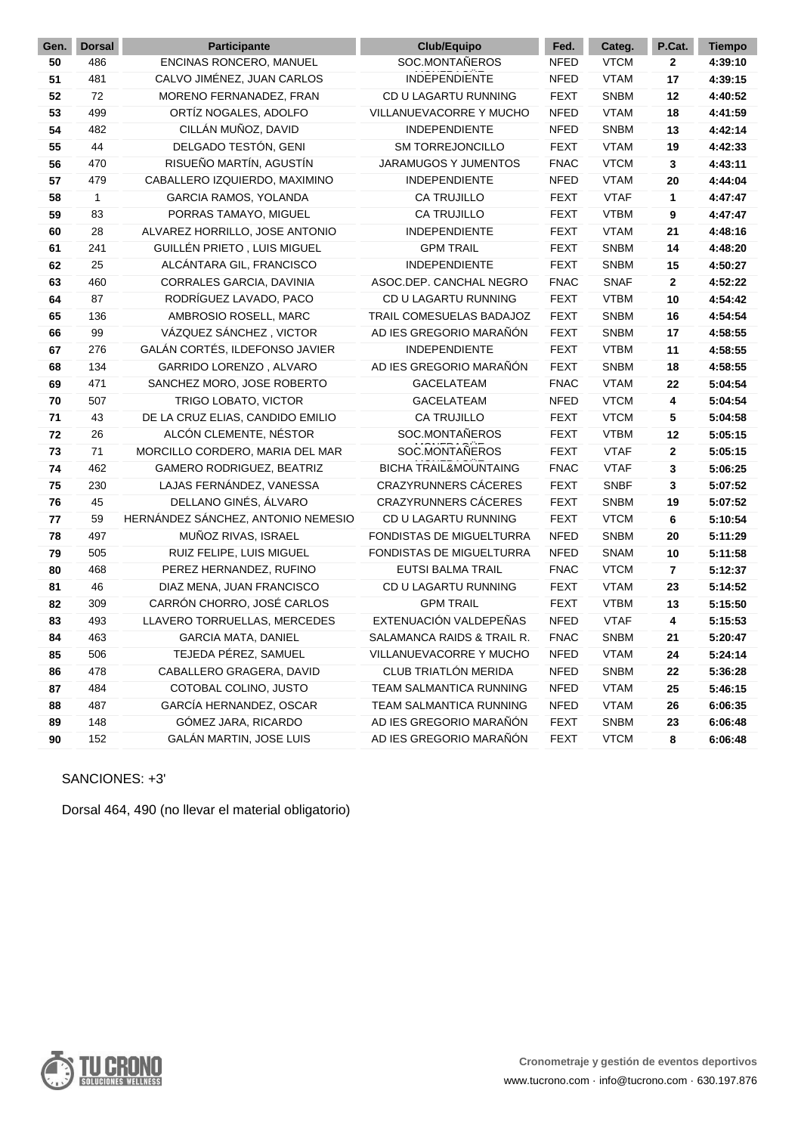| Gen. | <b>Dorsal</b> | Participante                       | Club/Equipo                      | Fed.        | Categ.      | P.Cat. | <b>Tiempo</b> |
|------|---------------|------------------------------------|----------------------------------|-------------|-------------|--------|---------------|
| 50   | 486           | ENCINAS RONCERO, MANUEL            | SOC.MONTAÑEROS                   | <b>NFED</b> | <b>VTCM</b> | 2      | 4:39:10       |
| 51   | 481           | CALVO JIMÉNEZ, JUAN CARLOS         | <b>INDEPENDIENTE</b>             | <b>NFED</b> | <b>VTAM</b> | 17     | 4:39:15       |
| 52   | 72            | MORENO FERNANADEZ, FRAN            | CD U LAGARTU RUNNING             | <b>FEXT</b> | <b>SNBM</b> | 12     | 4:40:52       |
| 53   | 499           | ORTÍZ NOGALES, ADOLFO              | VILLANUEVACORRE Y MUCHO          | <b>NFED</b> | <b>VTAM</b> | 18     | 4:41:59       |
| 54   | 482           | CILLÁN MUÑOZ, DAVID                | <b>INDEPENDIENTE</b>             | <b>NFED</b> | <b>SNBM</b> | 13     | 4:42:14       |
| 55   | 44            | DELGADO TESTÓN, GENI               | <b>SM TORREJONCILLO</b>          | <b>FEXT</b> | <b>VTAM</b> | 19     | 4:42:33       |
| 56   | 470           | RISUEÑO MARTÍN, AGUSTÍN            | <b>JARAMUGOS Y JUMENTOS</b>      | <b>FNAC</b> | <b>VTCM</b> | 3      | 4:43:11       |
| 57   | 479           | CABALLERO IZQUIERDO, MAXIMINO      | <b>INDEPENDIENTE</b>             | <b>NFED</b> | <b>VTAM</b> | 20     | 4:44:04       |
| 58   | 1             | GARCIA RAMOS, YOLANDA              | <b>CA TRUJILLO</b>               | <b>FEXT</b> | <b>VTAF</b> | 1      | 4:47:47       |
| 59   | 83            | PORRAS TAMAYO, MIGUEL              | <b>CA TRUJILLO</b>               | <b>FEXT</b> | <b>VTBM</b> | 9      | 4:47:47       |
| 60   | 28            | ALVAREZ HORRILLO, JOSE ANTONIO     | <b>INDEPENDIENTE</b>             | <b>FEXT</b> | <b>VTAM</b> | 21     | 4:48:16       |
| 61   | 241           | GUILLÉN PRIETO, LUIS MIGUEL        | <b>GPM TRAIL</b>                 | <b>FEXT</b> | <b>SNBM</b> | 14     | 4:48:20       |
| 62   | 25            | ALCÁNTARA GIL, FRANCISCO           | <b>INDEPENDIENTE</b>             | <b>FEXT</b> | <b>SNBM</b> | 15     | 4:50:27       |
| 63   | 460           | CORRALES GARCIA, DAVINIA           | ASOC.DEP. CANCHAL NEGRO          | <b>FNAC</b> | <b>SNAF</b> | 2      | 4:52:22       |
| 64   | 87            | RODRÍGUEZ LAVADO, PACO             | CD U LAGARTU RUNNING             | <b>FEXT</b> | <b>VTBM</b> | 10     | 4:54:42       |
| 65   | 136           | AMBROSIO ROSELL, MARC              | TRAIL COMESUELAS BADAJOZ         | <b>FEXT</b> | <b>SNBM</b> | 16     | 4:54:54       |
| 66   | 99            | VÁZQUEZ SÁNCHEZ, VICTOR            | AD IES GREGORIO MARAÑÓN          | <b>FEXT</b> | <b>SNBM</b> | 17     | 4:58:55       |
| 67   | 276           | GALÁN CORTÉS, ILDEFONSO JAVIER     | <b>INDEPENDIENTE</b>             | <b>FEXT</b> | <b>VTBM</b> | 11     | 4:58:55       |
| 68   | 134           | GARRIDO LORENZO, ALVARO            | AD IES GREGORIO MARAÑÓN          | <b>FEXT</b> | <b>SNBM</b> | 18     | 4:58:55       |
| 69   | 471           | SANCHEZ MORO, JOSE ROBERTO         | <b>GACELATEAM</b>                | <b>FNAC</b> | <b>VTAM</b> | 22     | 5:04:54       |
| 70   | 507           | TRIGO LOBATO, VICTOR               | GACELATEAM                       | <b>NFED</b> | <b>VTCM</b> | 4      | 5:04:54       |
| 71   | 43            | DE LA CRUZ ELIAS, CANDIDO EMILIO   | <b>CA TRUJILLO</b>               | <b>FEXT</b> | <b>VTCM</b> | 5      | 5:04:58       |
| 72   | 26            | ALCÓN CLEMENTE, NÉSTOR             | SOC.MONTAÑEROS                   | <b>FEXT</b> | <b>VTBM</b> | 12     | 5:05:15       |
| 73   | 71            | MORCILLO CORDERO, MARIA DEL MAR    | SOC.MONTAÑEROS                   | <b>FEXT</b> | <b>VTAF</b> | 2      | 5:05:15       |
| 74   | 462           | GAMERO RODRIGUEZ, BEATRIZ          | <b>BICHA TRAIL&amp;MOUNTAING</b> | <b>FNAC</b> | <b>VTAF</b> | 3      | 5:06:25       |
| 75   | 230           | LAJAS FERNÁNDEZ, VANESSA           | <b>CRAZYRUNNERS CÁCERES</b>      | <b>FEXT</b> | <b>SNBF</b> | 3      | 5:07:52       |
| 76   | 45            | DELLANO GINÉS, ÁLVARO              | <b>CRAZYRUNNERS CÁCERES</b>      | <b>FEXT</b> | <b>SNBM</b> | 19     | 5:07:52       |
| 77   | 59            | HERNÁNDEZ SÁNCHEZ, ANTONIO NEMESIO | CD U LAGARTU RUNNING             | <b>FEXT</b> | <b>VTCM</b> | 6      | 5:10:54       |
| 78   | 497           | MUÑOZ RIVAS, ISRAEL                | FONDISTAS DE MIGUELTURRA         | <b>NFED</b> | <b>SNBM</b> | 20     | 5:11:29       |
| 79   | 505           | RUIZ FELIPE, LUIS MIGUEL           | FONDISTAS DE MIGUELTURRA         | <b>NFED</b> | <b>SNAM</b> | 10     | 5:11:58       |
| 80   | 468           | PEREZ HERNANDEZ, RUFINO            | <b>EUTSI BALMA TRAIL</b>         | <b>FNAC</b> | <b>VTCM</b> | 7      | 5:12:37       |
| 81   | 46            | DIAZ MENA, JUAN FRANCISCO          | CD U LAGARTU RUNNING             | <b>FEXT</b> | <b>VTAM</b> | 23     | 5:14:52       |
| 82   | 309           | CARRÓN CHORRO, JOSÉ CARLOS         | <b>GPM TRAIL</b>                 | <b>FEXT</b> | <b>VTBM</b> | 13     | 5:15:50       |
| 83   | 493           | LLAVERO TORRUELLAS, MERCEDES       | EXTENUACIÓN VALDEPEÑAS           | <b>NFED</b> | <b>VTAF</b> | 4      | 5:15:53       |
| 84   | 463           | <b>GARCIA MATA, DANIEL</b>         | SALAMANCA RAIDS & TRAIL R.       | <b>FNAC</b> | <b>SNBM</b> | 21     | 5:20:47       |
| 85   | 506           | TEJEDA PÉREZ, SAMUEL               | VILLANUEVACORRE Y MUCHO          | <b>NFED</b> | <b>VTAM</b> | 24     | 5:24:14       |
| 86   | 478           | CABALLERO GRAGERA, DAVID           | CLUB TRIATLÓN MERIDA             | <b>NFED</b> | <b>SNBM</b> | 22     | 5:36:28       |
| 87   | 484           | COTOBAL COLINO, JUSTO              | TEAM SALMANTICA RUNNING          | <b>NFED</b> | <b>VTAM</b> | 25     | 5:46:15       |
| 88   | 487           | GARCÍA HERNANDEZ, OSCAR            | TEAM SALMANTICA RUNNING          | <b>NFED</b> | <b>VTAM</b> | 26     | 6:06:35       |
| 89   | 148           | GÓMEZ JARA, RICARDO                | AD IES GREGORIO MARAÑÓN          | <b>FEXT</b> | <b>SNBM</b> | 23     | 6:06:48       |
| 90   | 152           | GALÁN MARTIN, JOSE LUIS            | AD IES GREGORIO MARAÑÓN          | <b>FEXT</b> | <b>VTCM</b> | 8      | 6:06:48       |

#### SANCIONES: +3'

Dorsal 464, 490 (no llevar el material obligatorio)

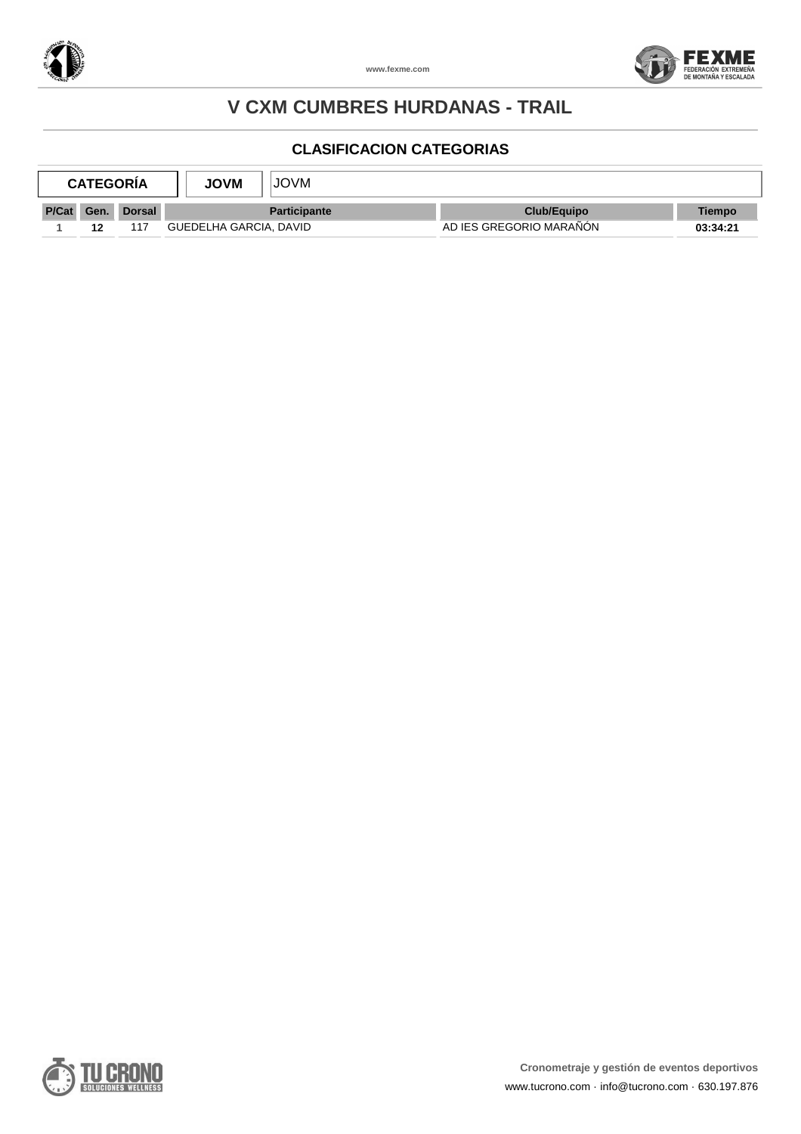



|       | <b>CATEGORIA</b> |        | <b>JOVM</b>            | JOVM                |                         |               |
|-------|------------------|--------|------------------------|---------------------|-------------------------|---------------|
| P/Cat | Gen.             | Dorsal |                        | <b>Participante</b> | Club/Equipo             | <b>Tiempo</b> |
|       | 12               | 117    | GUEDELHA GARCIA, DAVID |                     | AD IES GREGORIO MARAÑON | 03:34:21      |

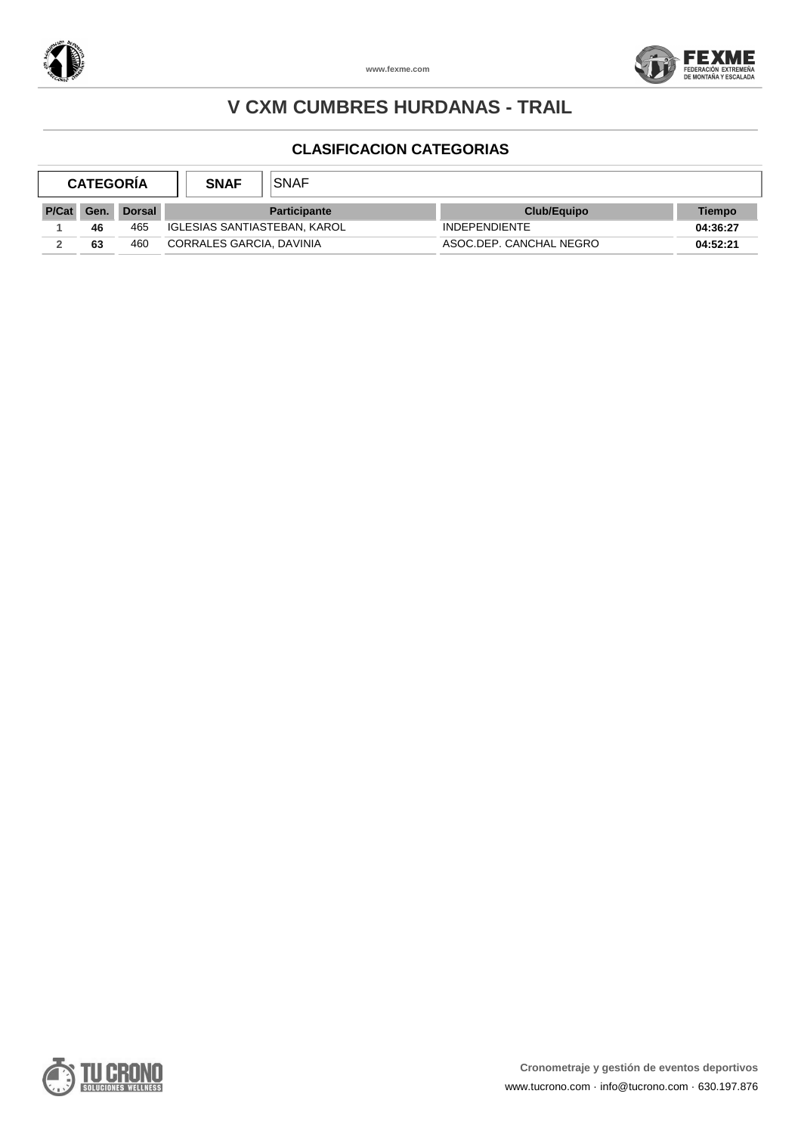



|       | <b>CATEGORIA</b> |        | <b>SNAF</b>                  | <b>SNAF</b>         |                         |                    |          |
|-------|------------------|--------|------------------------------|---------------------|-------------------------|--------------------|----------|
| P/Cat | Gen.             | Dorsal |                              | <b>Participante</b> |                         | <b>Club/Equipo</b> | Tiempo   |
|       | 46               | 465    | IGLESIAS SANTIASTEBAN, KAROL |                     | <b>INDEPENDIENTE</b>    |                    | 04:36:27 |
|       | 63               | 460    | CORRALES GARCIA, DAVINIA     |                     | ASOC.DEP. CANCHAL NEGRO |                    | 04:52:21 |

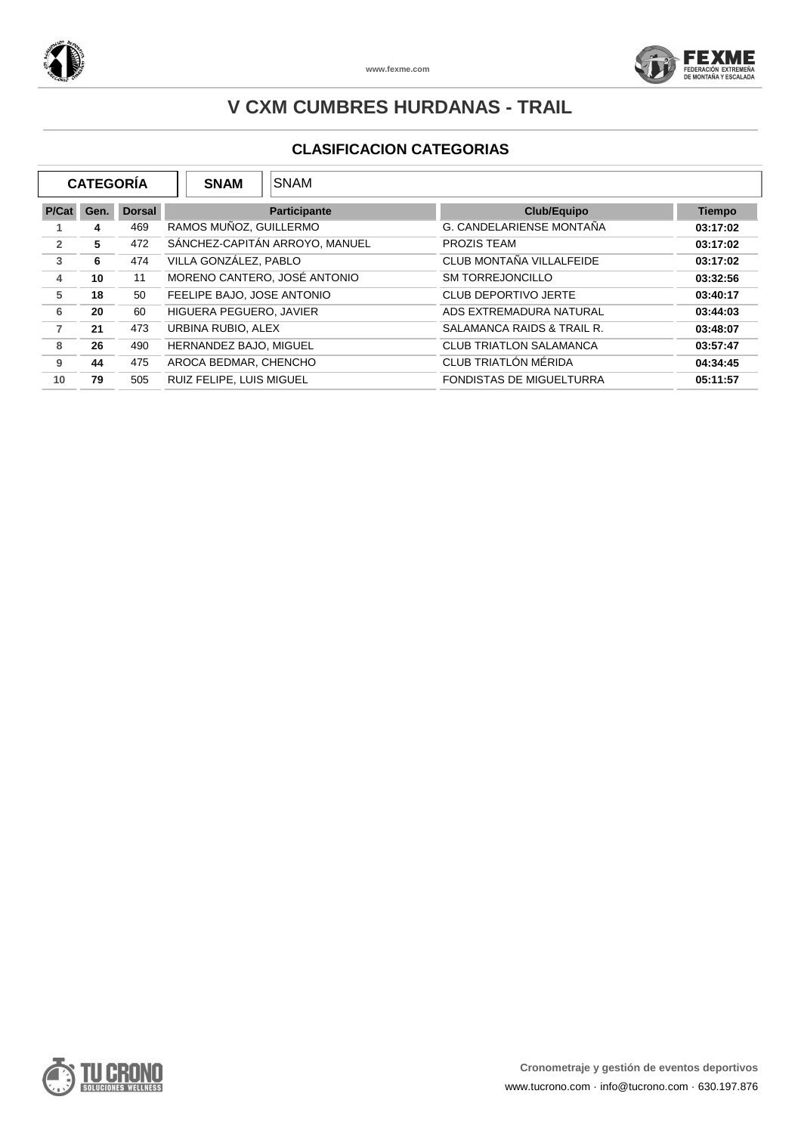



|                | <b>CATEGORÍA</b> |               | <b>SNAM</b><br><b>SNAM</b>     |                                 |               |
|----------------|------------------|---------------|--------------------------------|---------------------------------|---------------|
| P/Cat          | Gen.             | <b>Dorsal</b> | <b>Participante</b>            | <b>Club/Equipo</b>              | <b>Tiempo</b> |
|                | 4                | 469           | RAMOS MUÑOZ, GUILLERMO         | G. CANDELARIENSE MONTAÑA        | 03:17:02      |
| $\overline{2}$ | 5                | 472           | SÁNCHEZ-CAPITÁN ARROYO, MANUEL | PROZIS TEAM                     | 03:17:02      |
| 3              | 6                | 474           | VILLA GONZÁLEZ, PABLO          | CLUB MONTAÑA VILLALFEIDE        | 03:17:02      |
| 4              | 10               | 11            | MORENO CANTERO, JOSÉ ANTONIO   | <b>SM TORREJONCILLO</b>         | 03:32:56      |
| 5              | 18               | 50            | FEELIPE BAJO, JOSE ANTONIO     | <b>CLUB DEPORTIVO JERTE</b>     | 03:40:17      |
| 6              | 20               | 60            | HIGUERA PEGUERO, JAVIER        | ADS EXTREMADURA NATURAL         | 03:44:03      |
| $\overline{7}$ | 21               | 473           | URBINA RUBIO, ALEX             | SALAMANCA RAIDS & TRAIL R.      | 03:48:07      |
| 8              | 26               | 490           | HERNANDEZ BAJO, MIGUEL         | <b>CLUB TRIATLON SALAMANCA</b>  | 03:57:47      |
| 9              | 44               | 475           | AROCA BEDMAR, CHENCHO          | CLUB TRIATLÓN MÉRIDA            | 04:34:45      |
| 10             | 79               | 505           | RUIZ FELIPE, LUIS MIGUEL       | <b>FONDISTAS DE MIGUELTURRA</b> | 05:11:57      |

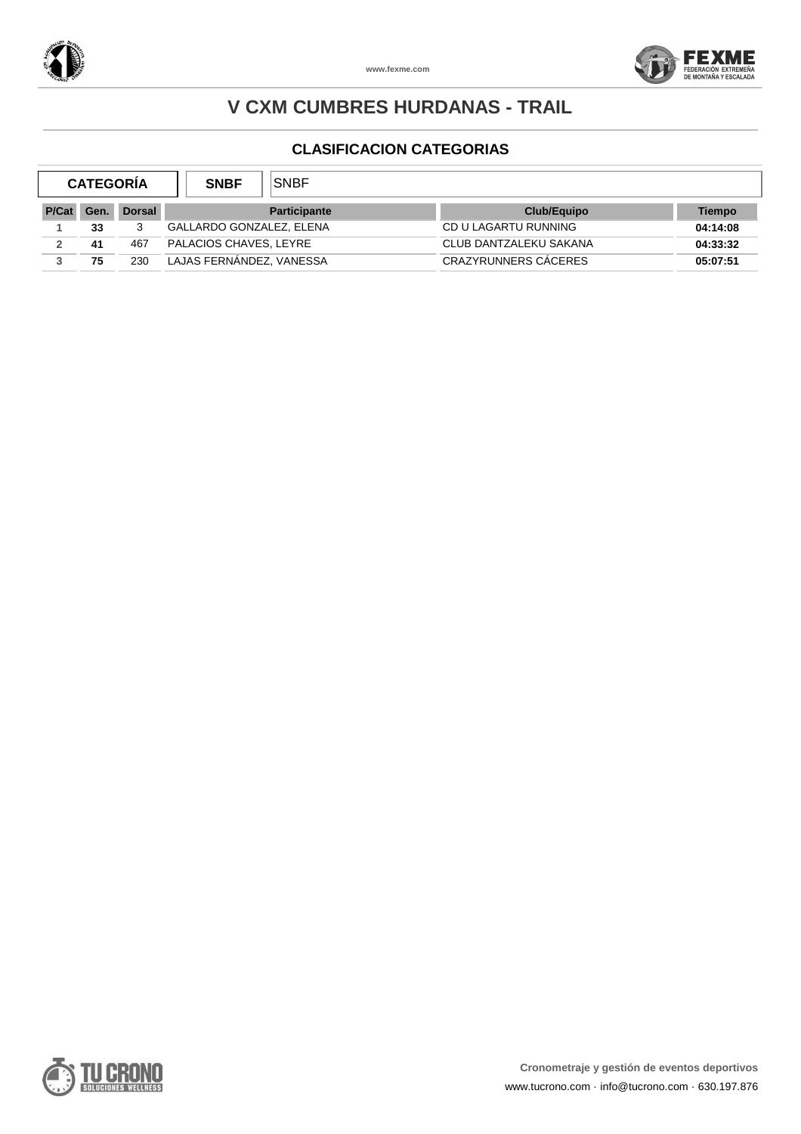



| <b>CATEGORIA</b> |      |               | <b>SNBF</b>              | SNBF                |                        |          |
|------------------|------|---------------|--------------------------|---------------------|------------------------|----------|
| P/Cat            | Gen. | <b>Dorsal</b> |                          | <b>Participante</b> | Club/Equipo            | Tiempo   |
|                  | 33   | 3             | GALLARDO GONZALEZ, ELENA |                     | CD U LAGARTU RUNNING   | 04:14:08 |
|                  | 41   | 467           | PALACIOS CHAVES, LEYRE   |                     | CLUB DANTZALEKU SAKANA | 04:33:32 |
|                  | 75   | 230           | LAJAS FERNANDEZ, VANESSA |                     | CRAZYRUNNERS CACERES   | 05:07:51 |

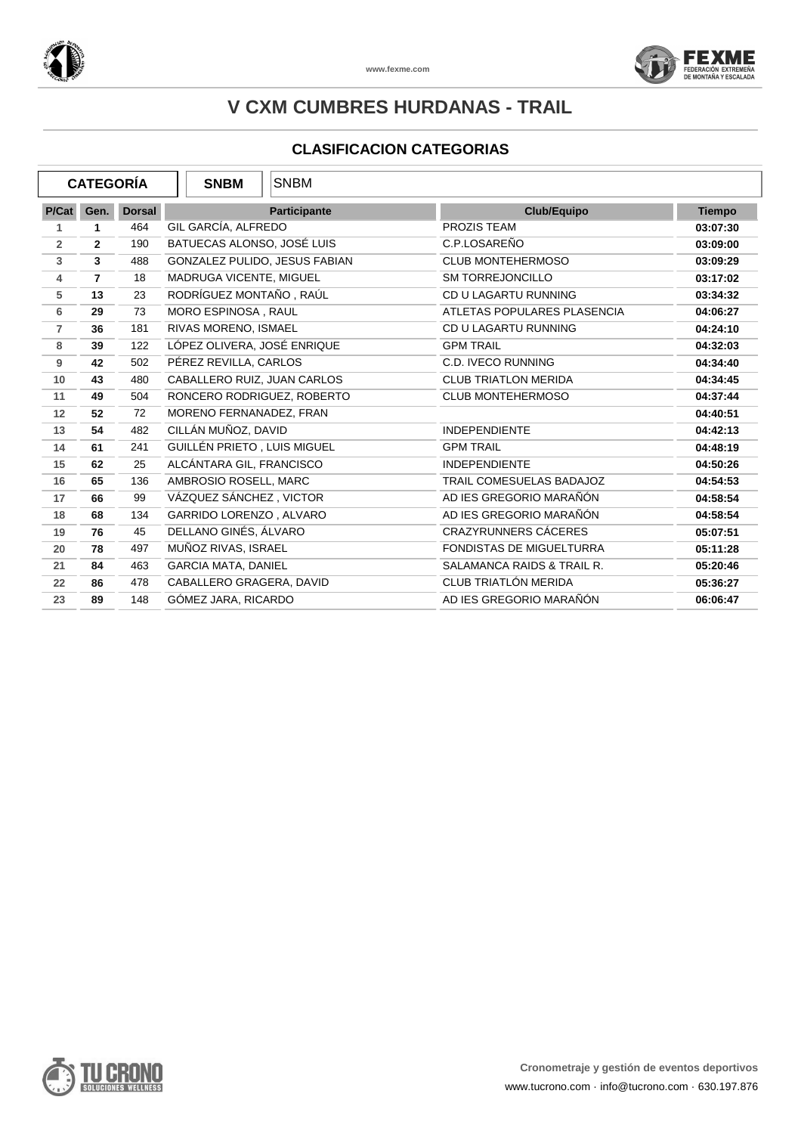



| <b>CATEGORÍA</b> |                |               | <b>SNBM</b>                   | <b>SNBM</b>         |                                 |               |
|------------------|----------------|---------------|-------------------------------|---------------------|---------------------------------|---------------|
| P/Cat            | Gen.           | <b>Dorsal</b> |                               | <b>Participante</b> | Club/Equipo                     | <b>Tiempo</b> |
| 1                | 1              | 464           | GIL GARCÍA, ALFREDO           |                     | PROZIS TEAM                     | 03:07:30      |
| $\overline{2}$   | $\overline{2}$ | 190           | BATUECAS ALONSO, JOSÉ LUIS    |                     | C.P.LOSAREÑO                    | 03:09:00      |
| 3                | 3              | 488           | GONZALEZ PULIDO, JESUS FABIAN |                     | <b>CLUB MONTEHERMOSO</b>        | 03:09:29      |
| 4                | $\overline{7}$ | 18            | MADRUGA VICENTE, MIGUEL       |                     | <b>SM TORREJONCILLO</b>         | 03:17:02      |
| 5                | 13             | 23            | RODRÍGUEZ MONTAÑO, RAÚL       |                     | CD U LAGARTU RUNNING            | 03:34:32      |
| 6                | 29             | 73            | MORO ESPINOSA, RAUL           |                     | ATLETAS POPULARES PLASENCIA     | 04:06:27      |
| $\overline{7}$   | 36             | 181           | RIVAS MORENO, ISMAEL          |                     | CD U LAGARTU RUNNING            | 04:24:10      |
| 8                | 39             | 122           | LÓPEZ OLIVERA, JOSÉ ENRIQUE   |                     | <b>GPM TRAIL</b>                | 04:32:03      |
| 9                | 42             | 502           | PÉREZ REVILLA, CARLOS         |                     | C.D. IVECO RUNNING              | 04:34:40      |
| 10               | 43             | 480           | CABALLERO RUIZ, JUAN CARLOS   |                     | <b>CLUB TRIATLON MERIDA</b>     | 04:34:45      |
| 11               | 49             | 504           | RONCERO RODRIGUEZ, ROBERTO    |                     | <b>CLUB MONTEHERMOSO</b>        | 04:37:44      |
| 12               | 52             | 72            | MORENO FERNANADEZ, FRAN       |                     |                                 | 04:40:51      |
| 13               | 54             | 482           | CILLÁN MUÑOZ, DAVID           |                     | <b>INDEPENDIENTE</b>            | 04:42:13      |
| 14               | 61             | 241           | GUILLÉN PRIETO, LUIS MIGUEL   |                     | <b>GPM TRAIL</b>                | 04:48:19      |
| 15               | 62             | 25            | ALCÁNTARA GIL, FRANCISCO      |                     | <b>INDEPENDIENTE</b>            | 04:50:26      |
| 16               | 65             | 136           | AMBROSIO ROSELL, MARC         |                     | TRAIL COMESUELAS BADAJOZ        | 04:54:53      |
| 17               | 66             | 99            | VÁZQUEZ SÁNCHEZ, VICTOR       |                     | AD IES GREGORIO MARAÑÓN         | 04:58:54      |
| 18               | 68             | 134           | GARRIDO LORENZO, ALVARO       |                     | AD IES GREGORIO MARAÑÓN         | 04:58:54      |
| 19               | 76             | 45            | DELLANO GINÉS, ÁLVARO         |                     | CRAZYRUNNERS CÁCERES            | 05:07:51      |
| 20               | 78             | 497           | MUÑOZ RIVAS, ISRAEL           |                     | <b>FONDISTAS DE MIGUELTURRA</b> | 05:11:28      |
| 21               | 84             | 463           | <b>GARCIA MATA, DANIEL</b>    |                     | SALAMANCA RAIDS & TRAIL R.      | 05:20:46      |
| 22               | 86             | 478           | CABALLERO GRAGERA, DAVID      |                     | CLUB TRIATLÓN MERIDA            | 05:36:27      |
| 23               | 89             | 148           | GÓMEZ JARA, RICARDO           |                     | AD IES GREGORIO MARAÑÓN         | 06:06:47      |

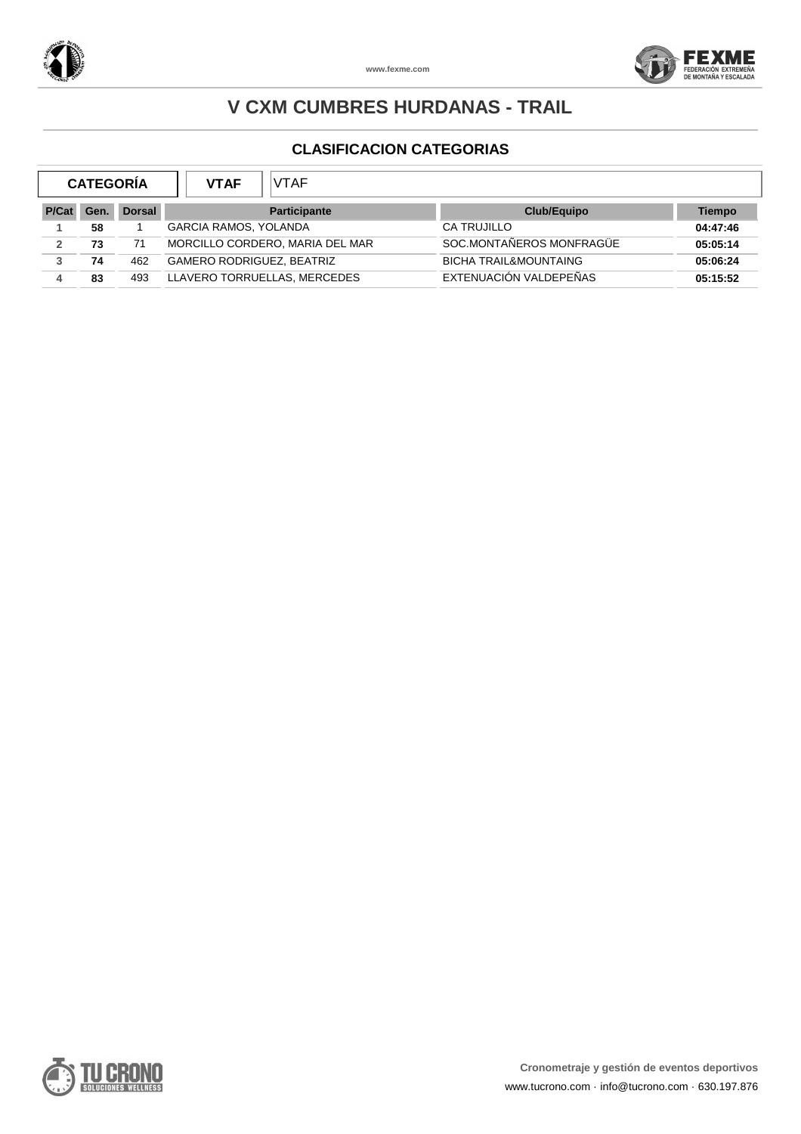



|      |     | <b>VTAF</b><br><b>VTAF</b>       |                                  |               |
|------|-----|----------------------------------|----------------------------------|---------------|
| Gen. |     | <b>Participante</b>              | Club/Equipo                      | <b>Tiempo</b> |
| 58   |     | <b>GARCIA RAMOS, YOLANDA</b>     | CA TRUJILLO                      | 04:47:46      |
| 73   | 71  | MORCILLO CORDERO, MARIA DEL MAR  | SOC.MONTAÑEROS MONFRAGÜE         | 05:05:14      |
| 74   | 462 | <b>GAMERO RODRIGUEZ, BEATRIZ</b> | <b>BICHA TRAIL&amp;MOUNTAING</b> | 05:06:24      |
| 83   | 493 | LLAVERO TORRUELLAS, MERCEDES     | EXTENUACIÓN VALDEPEÑAS           | 05:15:52      |
|      |     | <b>CATEGORÍA</b>                 | <b>Dorsal</b>                    |               |

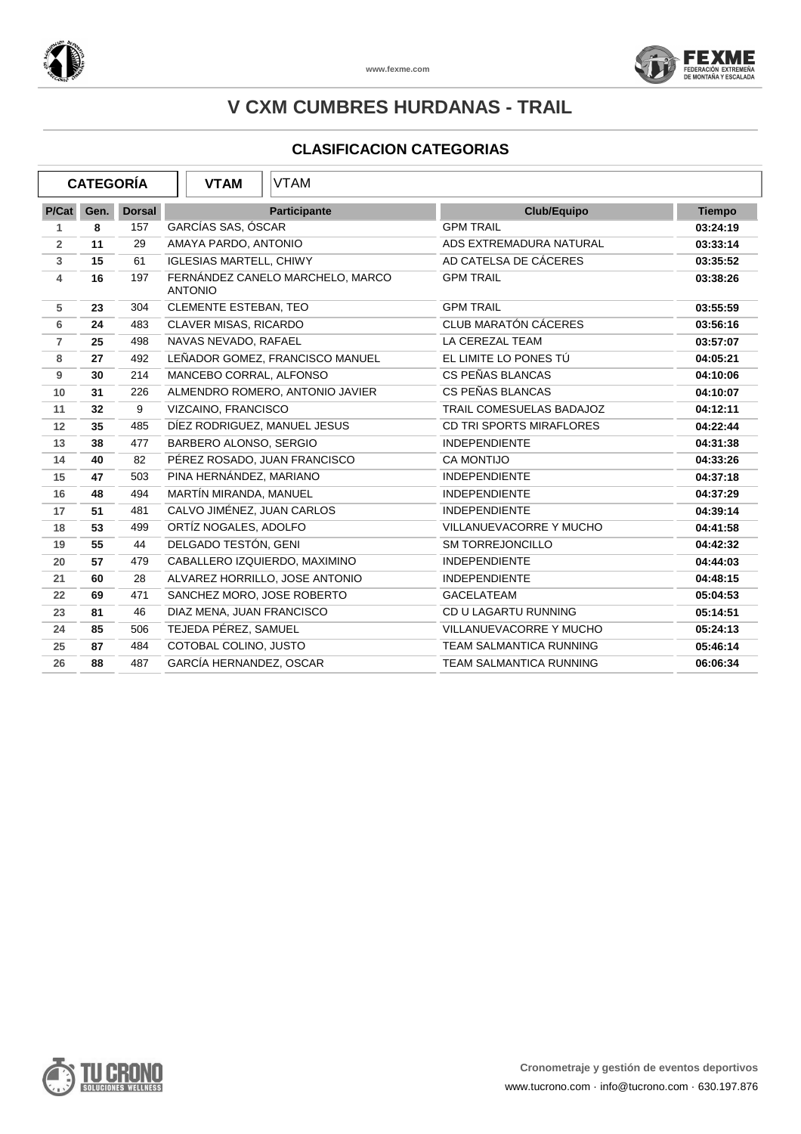



| <b>CATEGORÍA</b> |      |               | <b>VTAM</b>                    | VTAM                             |                                 |               |
|------------------|------|---------------|--------------------------------|----------------------------------|---------------------------------|---------------|
| P/Cat            | Gen. | <b>Dorsal</b> |                                | <b>Participante</b>              | Club/Equipo                     | <b>Tiempo</b> |
| 1.               | 8    | 157           | GARCÍAS SAS, ÓSCAR             |                                  | <b>GPM TRAIL</b>                | 03:24:19      |
| $\overline{2}$   | 11   | 29            | AMAYA PARDO, ANTONIO           |                                  | ADS EXTREMADURA NATURAL         | 03:33:14      |
| $\mathbf{3}$     | 15   | 61            | <b>IGLESIAS MARTELL, CHIWY</b> |                                  | AD CATELSA DE CÁCERES           | 03:35:52      |
| 4                | 16   | 197           | <b>ANTONIO</b>                 | FERNÁNDEZ CANELO MARCHELO, MARCO | <b>GPM TRAIL</b>                | 03:38:26      |
| 5                | 23   | 304           | CLEMENTE ESTEBAN, TEO          |                                  | <b>GPM TRAIL</b>                | 03:55:59      |
| 6                | 24   | 483           | <b>CLAVER MISAS, RICARDO</b>   |                                  | <b>CLUB MARATÓN CÁCERES</b>     | 03:56:16      |
| $\overline{7}$   | 25   | 498           | NAVAS NEVADO, RAFAEL           |                                  | LA CEREZAL TEAM                 | 03:57:07      |
| 8                | 27   | 492           |                                | LEÑADOR GOMEZ, FRANCISCO MANUEL  | EL LIMITE LO PONES TÚ           | 04:05:21      |
| 9                | 30   | 214           | MANCEBO CORRAL, ALFONSO        |                                  | CS PEÑAS BLANCAS                | 04:10:06      |
| 10               | 31   | 226           |                                | ALMENDRO ROMERO, ANTONIO JAVIER  | CS PEÑAS BLANCAS                | 04:10:07      |
| 11               | 32   | 9             | VIZCAINO, FRANCISCO            |                                  | TRAIL COMESUELAS BADAJOZ        | 04:12:11      |
| 12               | 35   | 485           | DIEZ RODRIGUEZ, MANUEL JESUS   |                                  | <b>CD TRI SPORTS MIRAFLORES</b> | 04:22:44      |
| 13               | 38   | 477           | BARBERO ALONSO, SERGIO         |                                  | <b>INDEPENDIENTE</b>            | 04:31:38      |
| 14               | 40   | 82            |                                | PÉREZ ROSADO, JUAN FRANCISCO     | <b>CA MONTIJO</b>               | 04:33:26      |
| 15               | 47   | 503           | PINA HERNÁNDEZ, MARIANO        |                                  | <b>INDEPENDIENTE</b>            | 04:37:18      |
| 16               | 48   | 494           | MARTÍN MIRANDA, MANUEL         |                                  | <b>INDEPENDIENTE</b>            | 04:37:29      |
| 17               | 51   | 481           | CALVO JIMÉNEZ, JUAN CARLOS     |                                  | <b>INDEPENDIENTE</b>            | 04:39:14      |
| 18               | 53   | 499           | ORTÍZ NOGALES, ADOLFO          |                                  | VILLANUEVACORRE Y MUCHO         | 04:41:58      |
| 19               | 55   | 44            | DELGADO TESTÓN, GENI           |                                  | <b>SM TORREJONCILLO</b>         | 04:42:32      |
| 20               | 57   | 479           |                                | CABALLERO IZQUIERDO, MAXIMINO    | <b>INDEPENDIENTE</b>            | 04:44:03      |
| 21               | 60   | 28            |                                | ALVAREZ HORRILLO, JOSE ANTONIO   | <b>INDEPENDIENTE</b>            | 04:48:15      |
| 22               | 69   | 471           | SANCHEZ MORO, JOSE ROBERTO     |                                  | <b>GACELATEAM</b>               | 05:04:53      |
| 23               | 81   | 46            | DIAZ MENA, JUAN FRANCISCO      |                                  | CD U LAGARTU RUNNING            | 05:14:51      |
| 24               | 85   | 506           | TEJEDA PÉREZ, SAMUEL           |                                  | VILLANUEVACORRE Y MUCHO         | 05:24:13      |
| 25               | 87   | 484           | COTOBAL COLINO, JUSTO          |                                  | <b>TEAM SALMANTICA RUNNING</b>  | 05:46:14      |
| 26               | 88   | 487           | GARCÍA HERNANDEZ, OSCAR        |                                  | <b>TEAM SALMANTICA RUNNING</b>  | 06:06:34      |

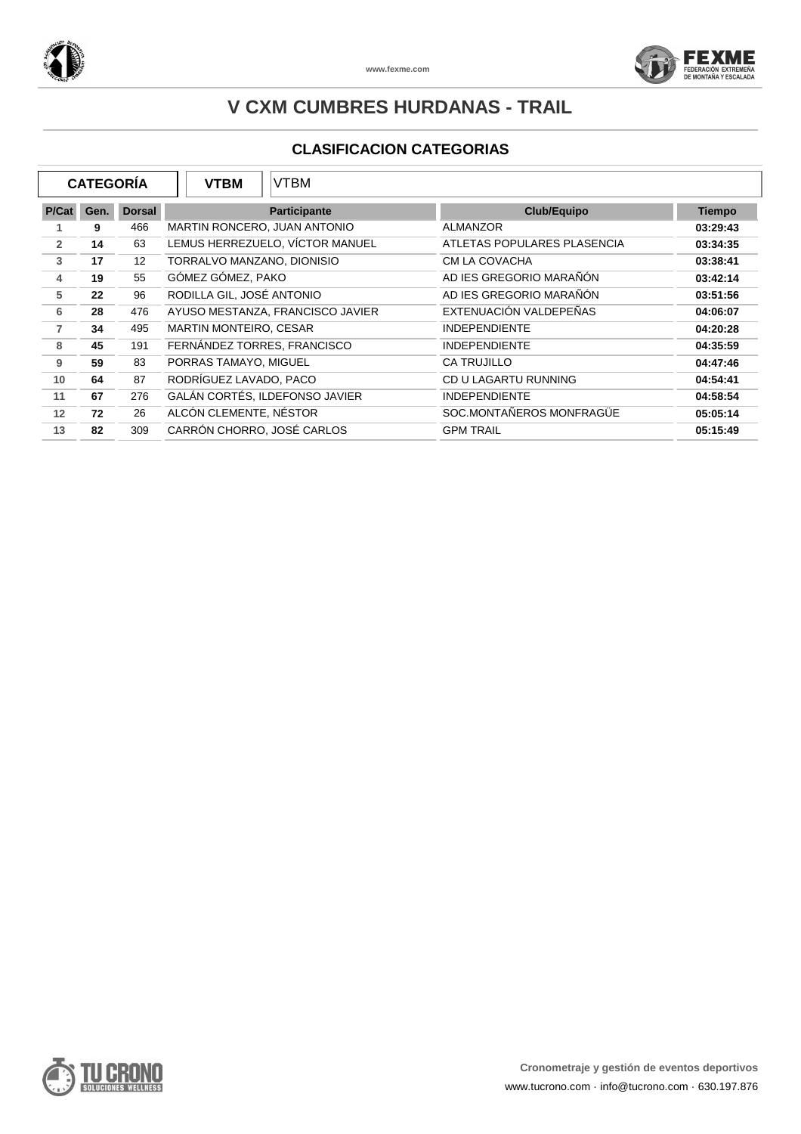



| <b>CATEGORÍA</b> |      | <b>VTBM</b>       | <b>VTBM</b>                  |                                  |                             |               |
|------------------|------|-------------------|------------------------------|----------------------------------|-----------------------------|---------------|
| P/Cat            | Gen. | <b>Dorsal</b>     |                              | <b>Participante</b>              | Club/Equipo                 | <b>Tiempo</b> |
|                  | 9    | 466               | MARTIN RONCERO, JUAN ANTONIO |                                  | <b>ALMANZOR</b>             | 03:29:43      |
| $\overline{2}$   | 14   | 63                |                              | LEMUS HERREZUELO, VÍCTOR MANUEL  | ATLETAS POPULARES PLASENCIA | 03:34:35      |
| 3                | 17   | $12 \overline{ }$ | TORRALVO MANZANO, DIONISIO   |                                  | CM LA COVACHA               | 03:38:41      |
| 4                | 19   | 55                | GÓMEZ GÓMEZ, PAKO            |                                  | AD IES GREGORIO MARAÑÓN     | 03:42:14      |
| 5                | 22   | 96                | RODILLA GIL, JOSÉ ANTONIO    |                                  | AD IES GREGORIO MARAÑÓN     | 03:51:56      |
| 6                | 28   | 476               |                              | AYUSO MESTANZA, FRANCISCO JAVIER | EXTENUACIÓN VALDEPEÑAS      | 04:06:07      |
| $\overline{7}$   | 34   | 495               | MARTIN MONTEIRO, CESAR       |                                  | <b>INDEPENDIENTE</b>        | 04:20:28      |
| 8                | 45   | 191               | FERNÁNDEZ TORRES, FRANCISCO  |                                  | <b>INDEPENDIENTE</b>        | 04:35:59      |
| 9                | 59   | 83                | PORRAS TAMAYO, MIGUEL        |                                  | <b>CA TRUJILLO</b>          | 04:47:46      |
| 10               | 64   | 87                | RODRÍGUEZ LAVADO, PACO       |                                  | CD U LAGARTU RUNNING        | 04:54:41      |
| 11               | 67   | 276               |                              | GALÁN CORTÉS, ILDEFONSO JAVIER   | <b>INDEPENDIENTE</b>        | 04:58:54      |
| 12               | 72   | 26                | ALCÓN CLEMENTE, NÉSTOR       |                                  | SOC.MONTAÑEROS MONFRAGÜE    | 05:05:14      |
| 13               | 82   | 309               | CARRÓN CHORRO, JOSÉ CARLOS   |                                  | <b>GPM TRAIL</b>            | 05:15:49      |